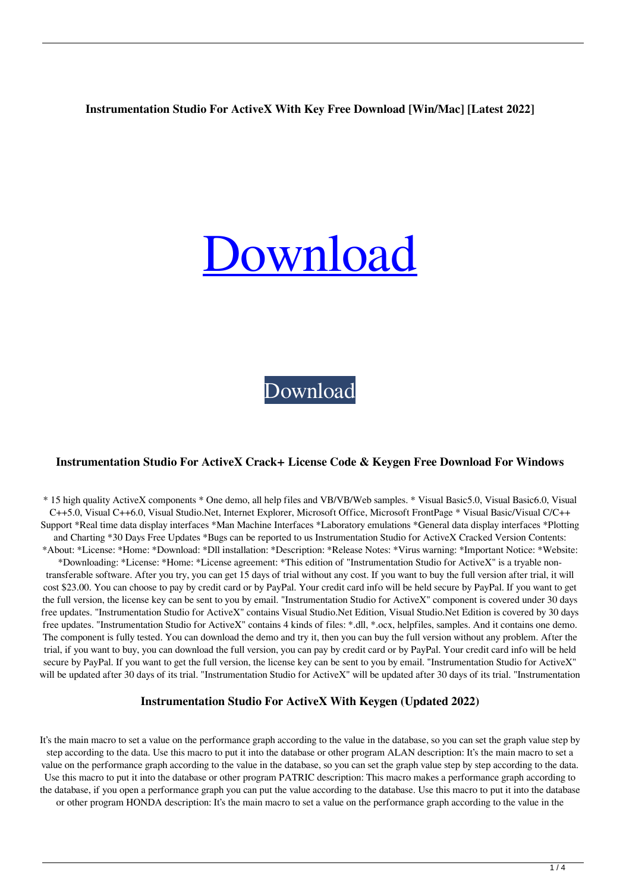#### **Instrumentation Studio For ActiveX With Key Free Download [Win/Mac] [Latest 2022]**

# [Download](http://evacdir.com/buck/elfordleigh?SW5zdHJ1bWVudGF0aW9uIFN0dWRpbyBmb3IgQWN0aXZlWASW5=schweiker/ZG93bmxvYWR8WlQzTWpVME9YeDhNVFkxTkRVeU1qRXhNSHg4TWpVM05IeDhLRTBwSUhKbFlXUXRZbXh2WnlCYlJtRnpkQ0JIUlU1ZA/zyban)

[Download](http://evacdir.com/buck/elfordleigh?SW5zdHJ1bWVudGF0aW9uIFN0dWRpbyBmb3IgQWN0aXZlWASW5=schweiker/ZG93bmxvYWR8WlQzTWpVME9YeDhNVFkxTkRVeU1qRXhNSHg4TWpVM05IeDhLRTBwSUhKbFlXUXRZbXh2WnlCYlJtRnpkQ0JIUlU1ZA/zyban)

#### **Instrumentation Studio For ActiveX Crack+ License Code & Keygen Free Download For Windows**

\* 15 high quality ActiveX components \* One demo, all help files and VB/VB/Web samples. \* Visual Basic5.0, Visual Basic6.0, Visual C++5.0, Visual C++6.0, Visual Studio.Net, Internet Explorer, Microsoft Office, Microsoft FrontPage \* Visual Basic/Visual C/C++ Support \*Real time data display interfaces \*Man Machine Interfaces \*Laboratory emulations \*General data display interfaces \*Plotting and Charting \*30 Days Free Updates \*Bugs can be reported to us Instrumentation Studio for ActiveX Cracked Version Contents: \*About: \*License: \*Home: \*Download: \*Dll installation: \*Description: \*Release Notes: \*Virus warning: \*Important Notice: \*Website:

\*Downloading: \*License: \*Home: \*License agreement: \*This edition of "Instrumentation Studio for ActiveX" is a tryable nontransferable software. After you try, you can get 15 days of trial without any cost. If you want to buy the full version after trial, it will cost \$23.00. You can choose to pay by credit card or by PayPal. Your credit card info will be held secure by PayPal. If you want to get the full version, the license key can be sent to you by email. "Instrumentation Studio for ActiveX" component is covered under 30 days free updates. "Instrumentation Studio for ActiveX" contains Visual Studio.Net Edition, Visual Studio.Net Edition is covered by 30 days free updates. "Instrumentation Studio for ActiveX" contains 4 kinds of files: \*.dll, \*.ocx, helpfiles, samples. And it contains one demo. The component is fully tested. You can download the demo and try it, then you can buy the full version without any problem. After the trial, if you want to buy, you can download the full version, you can pay by credit card or by PayPal. Your credit card info will be held secure by PayPal. If you want to get the full version, the license key can be sent to you by email. "Instrumentation Studio for ActiveX" will be updated after 30 days of its trial. "Instrumentation Studio for ActiveX" will be updated after 30 days of its trial. "Instrumentation

#### **Instrumentation Studio For ActiveX With Keygen (Updated 2022)**

It's the main macro to set a value on the performance graph according to the value in the database, so you can set the graph value step by step according to the data. Use this macro to put it into the database or other program ALAN description: It's the main macro to set a value on the performance graph according to the value in the database, so you can set the graph value step by step according to the data. Use this macro to put it into the database or other program PATRIC description: This macro makes a performance graph according to the database, if you open a performance graph you can put the value according to the database. Use this macro to put it into the database or other program HONDA description: It's the main macro to set a value on the performance graph according to the value in the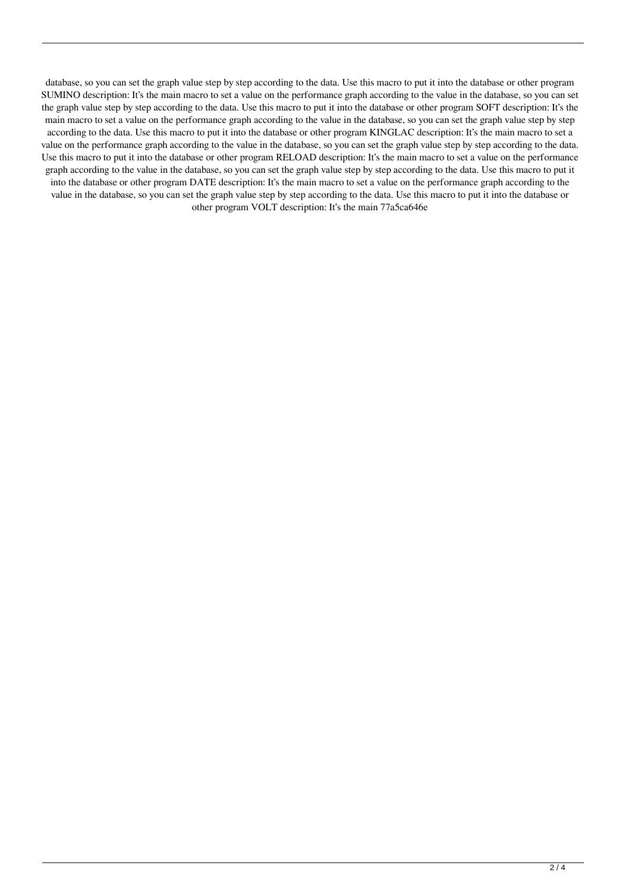database, so you can set the graph value step by step according to the data. Use this macro to put it into the database or other program SUMINO description: It's the main macro to set a value on the performance graph according to the value in the database, so you can set the graph value step by step according to the data. Use this macro to put it into the database or other program SOFT description: It's the main macro to set a value on the performance graph according to the value in the database, so you can set the graph value step by step according to the data. Use this macro to put it into the database or other program KINGLAC description: It's the main macro to set a value on the performance graph according to the value in the database, so you can set the graph value step by step according to the data. Use this macro to put it into the database or other program RELOAD description: It's the main macro to set a value on the performance graph according to the value in the database, so you can set the graph value step by step according to the data. Use this macro to put it into the database or other program DATE description: It's the main macro to set a value on the performance graph according to the value in the database, so you can set the graph value step by step according to the data. Use this macro to put it into the database or other program VOLT description: It's the main 77a5ca646e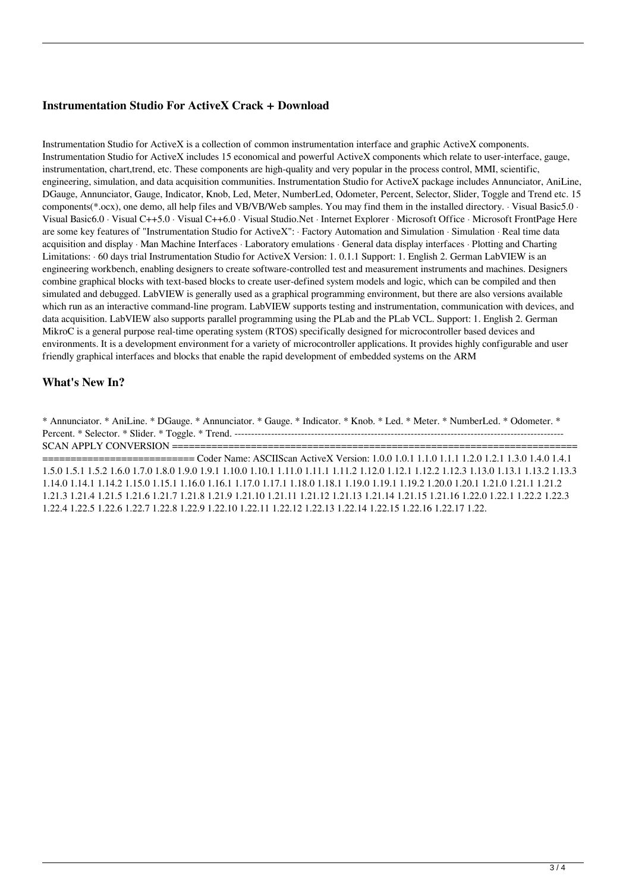## **Instrumentation Studio For ActiveX Crack + Download**

Instrumentation Studio for ActiveX is a collection of common instrumentation interface and graphic ActiveX components. Instrumentation Studio for ActiveX includes 15 economical and powerful ActiveX components which relate to user-interface, gauge, instrumentation, chart,trend, etc. These components are high-quality and very popular in the process control, MMI, scientific, engineering, simulation, and data acquisition communities. Instrumentation Studio for ActiveX package includes Annunciator, AniLine, DGauge, Annunciator, Gauge, Indicator, Knob, Led, Meter, NumberLed, Odometer, Percent, Selector, Slider, Toggle and Trend etc. 15 components(\*.ocx), one demo, all help files and VB/VB/Web samples. You may find them in the installed directory. · Visual Basic5.0 · Visual Basic6.0 · Visual C++5.0 · Visual C++6.0 · Visual Studio.Net · Internet Explorer · Microsoft Office · Microsoft FrontPage Here are some key features of "Instrumentation Studio for ActiveX": · Factory Automation and Simulation · Simulation · Real time data acquisition and display · Man Machine Interfaces · Laboratory emulations · General data display interfaces · Plotting and Charting Limitations: · 60 days trial Instrumentation Studio for ActiveX Version: 1.0.1.1 Support: 1. English 2. German LabVIEW is an engineering workbench, enabling designers to create software-controlled test and measurement instruments and machines. Designers combine graphical blocks with text-based blocks to create user-defined system models and logic, which can be compiled and then simulated and debugged. LabVIEW is generally used as a graphical programming environment, but there are also versions available which run as an interactive command-line program. LabVIEW supports testing and instrumentation, communication with devices, and data acquisition. LabVIEW also supports parallel programming using the PLab and the PLab VCL. Support: 1. English 2. German MikroC is a general purpose real-time operating system (RTOS) specifically designed for microcontroller based devices and environments. It is a development environment for a variety of microcontroller applications. It provides highly configurable and user friendly graphical interfaces and blocks that enable the rapid development of embedded systems on the ARM

## **What's New In?**

\* Annunciator. \* AniLine. \* DGauge. \* Annunciator. \* Gauge. \* Indicator. \* Knob. \* Led. \* Meter. \* NumberLed. \* Odometer. \* Percent. \* Selector. \* Slider. \* Toggle. \* Trend. --------------------------------------------------------------------------------------------------- SCAN APPLY CONVERSION ========================================================================

=========================== Coder Name: ASCIIScan ActiveX Version: 1.0.0 1.0.1 1.1.0 1.1.1 1.2.0 1.2.1 1.3.0 1.4.0 1.4.1 1.5.0 1.5.1 1.5.2 1.6.0 1.7.0 1.8.0 1.9.0 1.9.1 1.10.0 1.10.1 1.11.0 1.11.1 1.11.2 1.12.0 1.12.1 1.12.2 1.12.3 1.13.0 1.13.1 1.13.2 1.13.3 1.14.0 1.14.1 1.14.2 1.15.0 1.15.1 1.16.0 1.16.1 1.17.0 1.17.1 1.18.0 1.18.1 1.19.0 1.19.1 1.19.2 1.20.0 1.20.1 1.21.0 1.21.1 1.21.2 1.21.3 1.21.4 1.21.5 1.21.6 1.21.7 1.21.8 1.21.9 1.21.10 1.21.11 1.21.12 1.21.13 1.21.14 1.21.15 1.21.16 1.22.0 1.22.1 1.22.2 1.22.3 1.22.4 1.22.5 1.22.6 1.22.7 1.22.8 1.22.9 1.22.10 1.22.11 1.22.12 1.22.13 1.22.14 1.22.15 1.22.16 1.22.17 1.22.